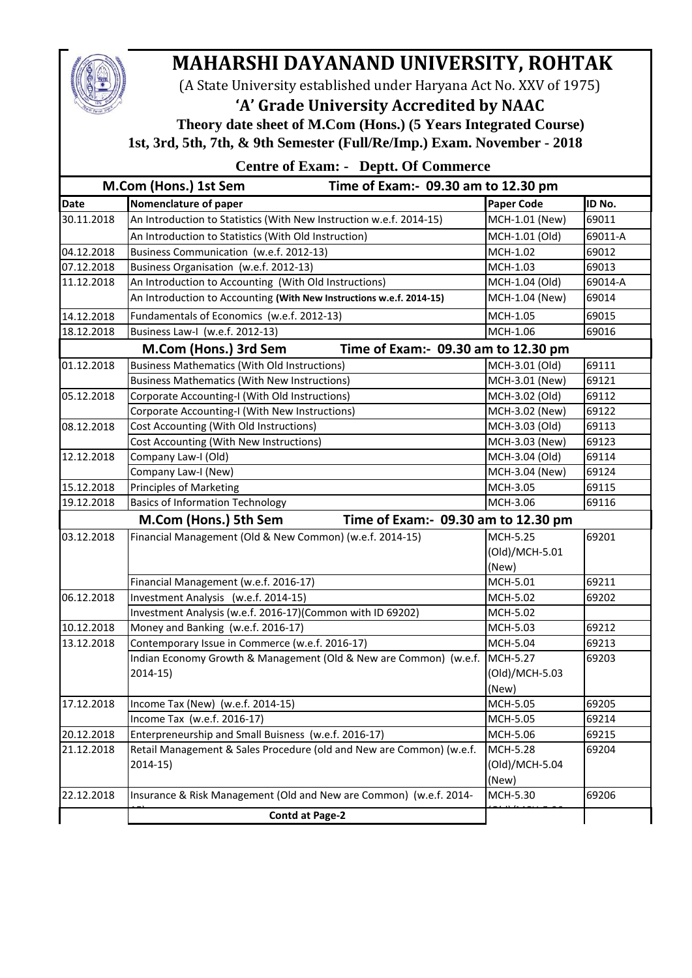## **MAHARSHI DAYANAND UNIVERSITY, ROHTAK**

(A State University established under Haryana Act No. XXV of 1975)

**'A' Grade University Accredited by NAAC**

 **Theory date sheet of M.Com (Hons.) (5 Years Integrated Course) 1st, 3rd, 5th, 7th, & 9th Semester (Full/Re/Imp.) Exam. November - 2018**

|  | <b>Centre of Exam: - Deptt. Of Commerce</b> |
|--|---------------------------------------------|
|--|---------------------------------------------|

| M.Com (Hons.) 1st Sem<br>Time of Exam:- 09.30 am to 12.30 pm |                                                                      |                   |         |  |  |  |
|--------------------------------------------------------------|----------------------------------------------------------------------|-------------------|---------|--|--|--|
| <b>Date</b>                                                  | Nomenclature of paper                                                | <b>Paper Code</b> | ID No.  |  |  |  |
| 30.11.2018                                                   | An Introduction to Statistics (With New Instruction w.e.f. 2014-15)  | MCH-1.01 (New)    | 69011   |  |  |  |
|                                                              | An Introduction to Statistics (With Old Instruction)                 | MCH-1.01 (Old)    | 69011-A |  |  |  |
| 04.12.2018                                                   | Business Communication (w.e.f. 2012-13)                              | MCH-1.02          | 69012   |  |  |  |
| 07.12.2018                                                   | Business Organisation (w.e.f. 2012-13)                               | MCH-1.03          | 69013   |  |  |  |
| 11.12.2018                                                   | An Introduction to Accounting (With Old Instructions)                | MCH-1.04 (Old)    | 69014-A |  |  |  |
|                                                              | An Introduction to Accounting (With New Instructions w.e.f. 2014-15) | MCH-1.04 (New)    | 69014   |  |  |  |
| 14.12.2018                                                   | Fundamentals of Economics (w.e.f. 2012-13)                           | MCH-1.05          | 69015   |  |  |  |
| 18.12.2018                                                   | Business Law-I (w.e.f. 2012-13)                                      | MCH-1.06          | 69016   |  |  |  |
|                                                              | Time of Exam:- 09.30 am to 12.30 pm<br>M.Com (Hons.) 3rd Sem         |                   |         |  |  |  |
| 01.12.2018                                                   | <b>Business Mathematics (With Old Instructions)</b>                  | MCH-3.01 (Old)    | 69111   |  |  |  |
|                                                              | <b>Business Mathematics (With New Instructions)</b>                  | MCH-3.01 (New)    | 69121   |  |  |  |
| 05.12.2018                                                   | Corporate Accounting-I (With Old Instructions)                       | MCH-3.02 (Old)    | 69112   |  |  |  |
|                                                              | Corporate Accounting-I (With New Instructions)                       | MCH-3.02 (New)    | 69122   |  |  |  |
| 08.12.2018                                                   | Cost Accounting (With Old Instructions)                              | MCH-3.03 (Old)    | 69113   |  |  |  |
|                                                              | Cost Accounting (With New Instructions)                              | MCH-3.03 (New)    | 69123   |  |  |  |
| 12.12.2018                                                   | Company Law-I (Old)                                                  | MCH-3.04 (Old)    | 69114   |  |  |  |
|                                                              | Company Law-I (New)                                                  | MCH-3.04 (New)    | 69124   |  |  |  |
| 15.12.2018                                                   | <b>Principles of Marketing</b>                                       | MCH-3.05          | 69115   |  |  |  |
| 19.12.2018                                                   | <b>Basics of Information Technology</b>                              | MCH-3.06          | 69116   |  |  |  |
|                                                              | M.Com (Hons.) 5th Sem<br>Time of Exam:- 09.30 am to 12.30 pm         |                   |         |  |  |  |
| 03.12.2018                                                   | Financial Management (Old & New Common) (w.e.f. 2014-15)             | <b>MCH-5.25</b>   | 69201   |  |  |  |
|                                                              |                                                                      | (Old)/MCH-5.01    |         |  |  |  |
|                                                              |                                                                      | (New)             |         |  |  |  |
|                                                              | Financial Management (w.e.f. 2016-17)                                | MCH-5.01          | 69211   |  |  |  |
| 06.12.2018                                                   | Investment Analysis (w.e.f. 2014-15)                                 | MCH-5.02          | 69202   |  |  |  |
|                                                              | Investment Analysis (w.e.f. 2016-17)(Common with ID 69202)           | MCH-5.02          |         |  |  |  |
| 10.12.2018                                                   | Money and Banking (w.e.f. 2016-17)                                   | MCH-5.03          | 69212   |  |  |  |
| 13.12.2018                                                   | Contemporary Issue in Commerce (w.e.f. 2016-17)                      | MCH-5.04          | 69213   |  |  |  |
|                                                              | Indian Economy Growth & Management (Old & New are Common) (w.e.f.    | MCH-5.27          | 69203   |  |  |  |
|                                                              | $2014-15$                                                            | (Old)/MCH-5.03    |         |  |  |  |
|                                                              |                                                                      | (New)             |         |  |  |  |
| 17.12.2018                                                   | Income Tax (New) (w.e.f. 2014-15)                                    | MCH-5.05          | 69205   |  |  |  |
|                                                              | Income Tax (w.e.f. 2016-17)                                          | MCH-5.05          | 69214   |  |  |  |
| 20.12.2018                                                   | Enterpreneurship and Small Buisness (w.e.f. 2016-17)                 | MCH-5.06          | 69215   |  |  |  |
| 21.12.2018                                                   | Retail Management & Sales Procedure (old and New are Common) (w.e.f. | MCH-5.28          | 69204   |  |  |  |
|                                                              | $2014-15)$                                                           | (Old)/MCH-5.04    |         |  |  |  |
|                                                              |                                                                      | (New)             |         |  |  |  |
| 22.12.2018                                                   | Insurance & Risk Management (Old and New are Common) (w.e.f. 2014-   | MCH-5.30          | 69206   |  |  |  |
|                                                              | <b>Contd at Page-2</b>                                               |                   |         |  |  |  |